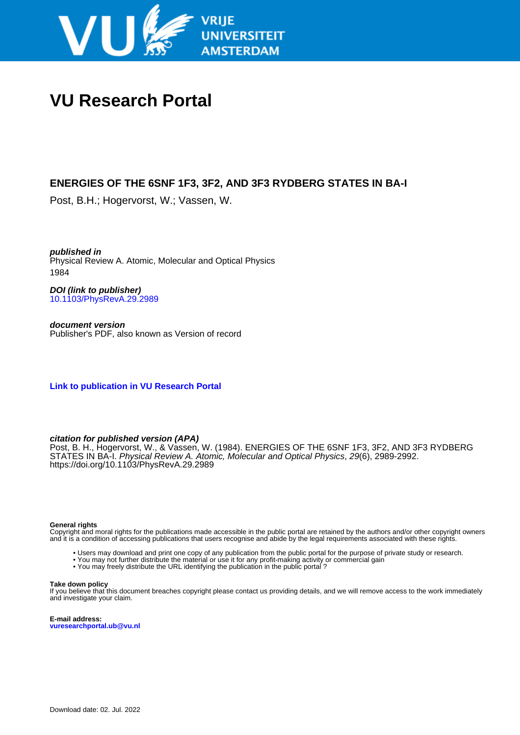

# **VU Research Portal**

## **ENERGIES OF THE 6SNF 1F3, 3F2, AND 3F3 RYDBERG STATES IN BA-I**

Post, B.H.; Hogervorst, W.; Vassen, W.

**published in** Physical Review A. Atomic, Molecular and Optical Physics 1984

**DOI (link to publisher)** [10.1103/PhysRevA.29.2989](https://doi.org/10.1103/PhysRevA.29.2989)

**document version** Publisher's PDF, also known as Version of record

**[Link to publication in VU Research Portal](https://research.vu.nl/en/publications/11ab8f9e-7442-40a3-814f-4c8fc0a571a5)**

### **citation for published version (APA)**

Post, B. H., Hogervorst, W., & Vassen, W. (1984). ENERGIES OF THE 6SNF 1F3, 3F2, AND 3F3 RYDBERG STATES IN BA-I. Physical Review A. Atomic, Molecular and Optical Physics, 29(6), 2989-2992. <https://doi.org/10.1103/PhysRevA.29.2989>

#### **General rights**

Copyright and moral rights for the publications made accessible in the public portal are retained by the authors and/or other copyright owners and it is a condition of accessing publications that users recognise and abide by the legal requirements associated with these rights.

- Users may download and print one copy of any publication from the public portal for the purpose of private study or research.
- You may not further distribute the material or use it for any profit-making activity or commercial gain
- You may freely distribute the URL identifying the publication in the public portal ?

#### **Take down policy**

If you believe that this document breaches copyright please contact us providing details, and we will remove access to the work immediately and investigate your claim.

**E-mail address: vuresearchportal.ub@vu.nl**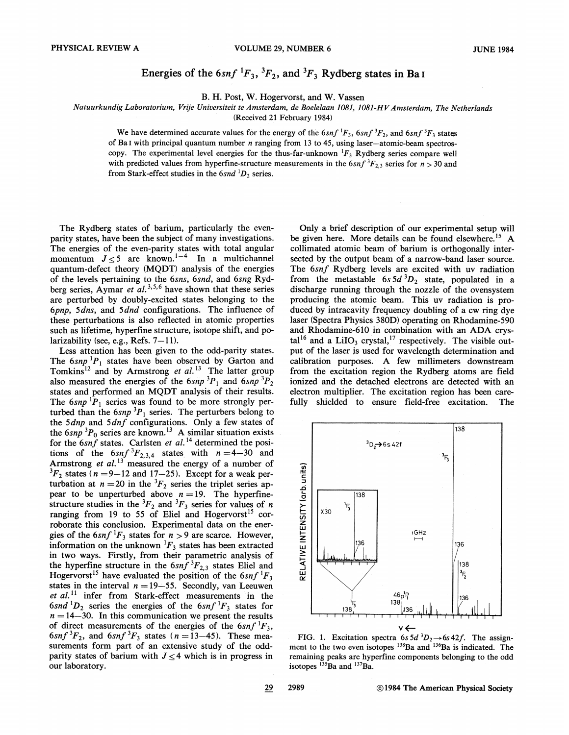## Energies of the  $6snf \, {}^1F_3$ ,  ${}^3F_2$ , and  ${}^3F_3$  Rydberg states in Ba I

B. H. Post, W. Hogervorst, and W. Vassen

Natuurkundig Laboratorium, Vrije Universiteit te Amsterdam, de Boelelaan 1081, 1081-HV Amsterdam, The Netherlands

(Received 21 February 1984)

We have determined accurate values for the energy of the  $6snf \, {}^1F_3$ ,  $6snf \, {}^3F_2$ , and  $6snf \, {}^3F_3$  states

of Ba I with principal quantum number  $n$  ranging from 13 to 45, using laser-atomic-beam spectros-

copy. The experimental level energies for the thus-far-unknown  ${}^{1}F_3$  Rydberg series compare well with predicted values from hyperfine-structure measurements in the 6snf  ${}^3F_{2,3}$  series for  $n > 30$  and

from Stark-effect studies in the  $6snd$   ${}^{1}D_{2}$  series.

The Rydberg states of barium, particularly the evenparity states, have been the subject of many investigations. The energies of the even-parity states with total angular<br>momentum  $J \le 5$  are known.<sup>1-4</sup> In a multichannel quantum-defect theory (MQDT) analysis of the energies of the levels pertaining to the 6sns, 6snd, and 6sng Ryd-<br>berg series, Aymar et al.<sup>3,5,6</sup> have shown that these series are perturbed by doubly-excited states belonging to the 6pnp, 5dns, and 5dnd configurations. The influence of these perturbations is also reflected in atomic properties such as lifetime, hyperfine structure, isotope shift, and polarizability (see, e.g., Refs.  $7-11$ ).

Less attention has been given to the odd-parity states. The  $6snp^{1}P_1$  states have been observed by Garton and Tomkins<sup>12</sup> and by Armstrong *et al.*<sup>13</sup> The latter group also measured the energies of the  $6snp^{3}P_1$  and  $6snp^{3}P_2$ states and performed an MQDT analysis of their results. The  $6snp$  <sup>1</sup> $P_1$  series was found to be more strongly perturbed than the  $6snp^{3}P_1$  series. The perturbers belong to the state than the state of the Sap  $\frac{1}{2}$  is selected by a few states of<br>the Sap  ${}^{3}P_0$  series are known.<sup>13</sup> A similar situation exists<br>for the 6*snf* states. Carlsten *et al.*<sup>14</sup> determined the positions of the  $6snf \, {}^{3}F_{2,3,4}$  states with  $n=4-30$  and<br>Armstrong *et al.*<sup>13</sup> measured the energy of a number of  ${}^{3}F_{2}$  states (n = 9–12 and 17–25). Except for a weak perturbation at  $n = 20$  in the  ${}^{3}F_2$  series the triplet series appear to be unperturbed above  $n = 19$ . The hyperfine-<br>structure studies in the  ${}^{3}F_{2}$  and  ${}^{3}F_{3}$  series for values of *n* ranging from 19 to 55 of Eliel and Hogervorst<sup>15</sup> corroborate this conclusion. Experimental data on the energies of the  $6snf$  <sup>1</sup> $F_3$  states for  $n > 9$  are scarce. However, information on the unknown  ${}^{1}F_3$  states has been extracted in two ways. Firstly, from their parametric analysis of the hyperfine structure in the  $6sn\tilde{f}^{3}F_{2,3}$  states Eliel and Hogervorst<sup>15</sup> have evaluated the position of the 6snf <sup>1</sup>F<sub>3</sub> states in the interval  $n = 19-55$ . Secondly, van Leeuwen et  $al$ .<sup>11</sup> infer from Stark-effect measurements in the  $6snd$   ${}^{1}D_{2}$  series the energies of the  $6snf$   ${}^{1}F_{3}$  states for  $n = 14-30$ . In this communication we present the results of direct measurements of the energies of the  $6snf$   $^1F_3$ ,  $6snf \,^3F_2$ , and  $6snf \,^3F_3$  states  $(n=13-45)$ . These measurements form part of an extensive study of the oddparity states of barium with  $J \leq 4$  which is in progress in our laboratory.

Only a brief description of our experimental setup will be given here. More details can be found elsewhere.<sup>15</sup> A collimated atomic beam of barium is orthogonally intersected by the output beam of a narrow-band laser source. The 6snf Rydberg levels are excited with uv radiation from the metastable 6s  $5d<sup>3</sup>D<sub>2</sub>$  state, populated in a discharge running through the nozzle of the ovensystem producing the atomic beam. This uv radiation is produced by intracavity frequency doubling of a cw ring dye laser (Spectra Physics 380D) operating on Rhodamine-590 and Rhodamine-610 in combination with an ADA crystal<sup>16</sup> and a LiIO<sub>3</sub> crystal,<sup>17</sup> respectively. The visible output of the laser is used for wavelength determination and calibration purposes. A few millimeters downstream from the excitation region the Rydberg atoms are field ionized and the detached electrons are detected with an electron multiplier. The excitation region has been carefully shielded to ensure field-free excitation. The



FIG. 1. Excitation spectra 6s 5d  ${}^3D_2 \rightarrow 6s 42f$ . The assignment to the two even isotopes <sup>138</sup>Ba and <sup>136</sup>Ba is indicated. The remaining peaks are hyperfine components belonging to the odd isotopes  $135$ Ba and  $137$ Ba.

29 2989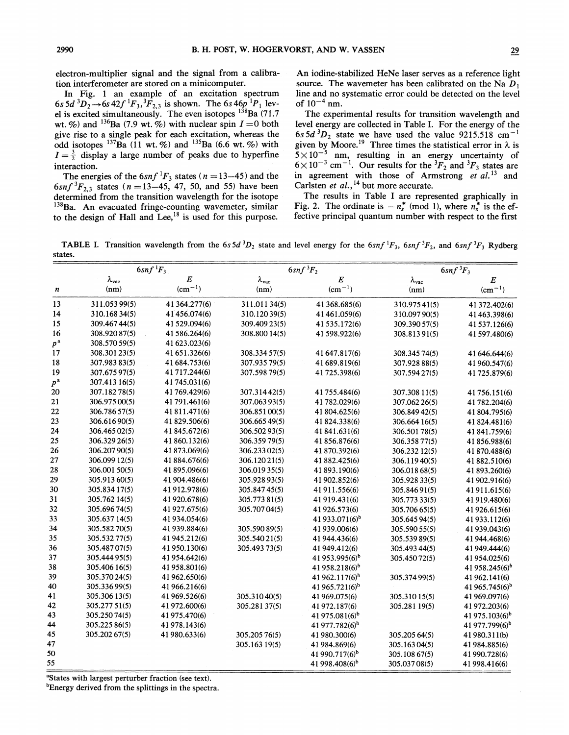electron-multiplier signal and the signal from a calibration interferometer are stored on a minicomputer.

In Fig. 1 an example of an excitation spectrum<br>6s  $5d^3D_2 \rightarrow 6s 42f^1F_3$ ,  $F_{2,3}$  is shown. The 6s  $46p^1P_1$  level is excited simultaneously. The even isotopes  $^{138}Ba (71.7)$ wt. %) and <sup>136</sup>Ba (7.9 wt. %) with nuclear spin  $I = 0$  both give rise to a single peak for each excitation, whereas the odd isotopes  $^{137}$ Ba (11 wt. %) and  $^{135}$ Ba (6.6 wt. %) with  $I=\frac{3}{2}$  display a large number of peaks due to hyperfine interaction.

The energies of the  $6snf \, {}^1F_3$  states ( $n = 13-45$ ) and the  $6snf \, {}^3F_{2,3}$  states ( $n = 13-45$ , 47, 50, and 55) have been determined from the transition wavelength for the isotope <sup>138</sup>Ba. An evacuated fringe-counting wavemeter, similar to the design of Hall and Lee,<sup>18</sup> is used for this purpose.

An iodine-stabilized HeNe laser serves as a reference light source. The wavemeter has been calibrated on the Na  $D_1$ line and no systematic error could be detected on the level of  $10^{-4}$  nm.

The experimental results for transition wavelength and level energy are collected in Table I. For the energy of the 6s 5d  ${}^3D_2$  state we have used the value 9215.518 cm<sup>-1</sup> given by Moore.<sup>19</sup> Three times the statistical error in  $\lambda$  is<br>5×10<sup>-5</sup> nm, resulting in an energy uncertainty of<br>6×10<sup>-3</sup> cm<sup>-1</sup>. Our results for the <sup>3</sup> $F_2$  and <sup>3</sup> $F_3$  states are in agreement with those of Armstrong et al.<sup>13</sup> and Carlsten et  $al.$ , <sup>14</sup> but more accurate.

The results in Table I are represented graphically in Fig. 2. The ordinate is  $-n_s^*$  (mod 1), where  $n_s^*$  is the effective principal quantum number with respect to the first

**TABLE I.** Transition wavelength from the 6s 5d  ${}^3D_2$  state and level energy for the 6snf  ${}^1F_3$ , 6snf  ${}^3F_2$ , and 6snf  ${}^3F_3$  Rydberg states.

|               | $6snf\,{}^1F_3$     |               | $6snf\,{}^3F_2$     |                            | $6snf\,{}^3F_3$     |                            |
|---------------|---------------------|---------------|---------------------|----------------------------|---------------------|----------------------------|
|               | $\lambda_{\rm vac}$ | $E_{\rm}$     | $\lambda_{\rm vac}$ | $\boldsymbol{E}$           | $\lambda_{\rm vac}$ | $E\,$                      |
| n             | (nm)                | $(cm^{-1})$   | (nm)                | $\rm (cm^{-1})$            | (nm)                | $(cm^{-1})$                |
| 13            | 311.053 99(5)       | 41 364.277(6) | 311.01134(5)        | 41 368.685(6)              | 310.97541(5)        | 41 372.402(6)              |
| 14            | 310.168 34(5)       | 41 456.074(6) | 310.12039(5)        | 41 461 059(6)              | 310.097 90(5)       | 41 463.398(6)              |
| 15            | 309.467 44(5)       | 41 529.094(6) | 309.409 23(5)       | 41 535.172(6)              | 309.390 57(5)       | 41 537.126(6)              |
| 16            | 308.920 87(5)       | 41 586.264(6) | 308.800 14(5)       | 41 598.922(6)              | 308.81391(5)        | 41 597.480(6)              |
| $p^{\,\rm a}$ | 308.570 59(5)       | 41 623.023(6) |                     |                            |                     |                            |
| 17            | 308.301 23(5)       | 41 651.326(6) | 308.334 57(5)       | 41 647.817(6)              | 308.345 74(5)       | 41 646.644(6)              |
| 18            | 307.983 83(5)       | 41 684.753(6) | 307.935 79(5)       | 41 689.819(6)              | 307.928 88(5)       | 41 960.547(6)              |
| 19            | 307.675 97(5)       | 41 717.244(6) | 307.598 79(5)       | 41 725.398(6)              | 307.594 27(5)       | 41 725.879(6)              |
| $p^{\rm a}$   | 307.413 16(5)       | 41 745.031(6) |                     |                            |                     |                            |
| 20            | 307.18278(5)        | 41 769.429(6) | 307.31442(5)        | 41 755.484(6)              | 307.308 11(5)       | 41 756.151(6)              |
| 21            | 306.975 00(5)       | 41 791.461(6) | 307.063 93(5)       | 41 782.029(6)              | 307.062 26(5)       | 41 782.204(6)              |
| 22            | 306.786 57(5)       | 41 811.471(6) | 306.851 00(5)       | 41 804.625(6)              | 306.849 42(5)       | 41 804.795(6)              |
| 23            | 306.61690(5)        | 41 829.506(6) | 306.665 49(5)       | 41 824.338(6)              | 306.664 16(5)       | 41 824.481(6)              |
| 24            | 306.465 02(5)       | 41 845.672(6) | 306.50293(5)        | 41 841.631(6)              | 306.501 78(5)       | 41 841.759(6)              |
| 25            | 306.329 26(5)       | 41 860.132(6) | 306.35979(5)        | 41 856.876(6)              | 306.35877(5)        | 41 856.988(6)              |
| 26            | 306.207 90(5)       | 41 873.069(6) | 306.233 02(5)       | 41 870.392(6)              | 306.232 12(5)       | 41 870.488(6)              |
| 27            | 306.099 12(5)       | 41 884.676(6) | 306.12021(5)        | 41 882.425(6)              | 306.11940(5)        | 41 882.510(6)              |
| 28            | 306.001 50(5)       | 41 895.096(6) | 306.019 35(5)       | 41 893.190(6)              | 306.018 68(5)       | 41 893.260(6)              |
| 29            | 305.913 60(5)       | 41 904.486(6) | 305.928 93(5)       | 41 902.852(6)              | 305.928 33(5)       | 41 902.916(6)              |
| 30            | 305.834 17(5)       | 41 912.978(6) | 305.84745(5)        | 41 911.556(6)              | 305.84691(5)        | 41 911.615(6)              |
| 31            | 305.762 14(5)       | 41 920.678(6) | 305.77381(5)        | 41 919.431(6)              | 305.773 33(5)       | 41 919.480(6)              |
| 32            | 305.696 74(5)       | 41 927.675(6) | 305.707 04(5)       | 41 926.573(6)              | 305.706 65(5)       | 41 926.615(6)              |
| 33            | 305.637 14(5)       | 41 934.054(6) |                     | 41 933.071(6) <sup>b</sup> | 305.645 94(5)       | 41 933.112(6)              |
| 34            | 305.582 70(5)       | 41 939.884(6) | 305.590 89(5)       | 41 939.006(6)              | 305.590 55(5)       | 41 939.043(6)              |
| 35            | 305.532 77(5)       | 41 945.212(6) | 305.54021(5)        | 41 944.436(6)              | 305.539 89(5)       | 41 944.468(6)              |
| 36            | 305.487 07(5)       | 41 950.130(6) | 305.493 73(5)       | 41 949.412(6)              | 305.493 44(5)       | 41 949.444(6)              |
| 37            | 305.444 95(5)       | 41 954.642(6) |                     | 41953.995(6) <sup>b</sup>  | 305.45072(5)        | 41 954.025(6)              |
| 38            | 305.406 16(5)       | 41 958.801(6) |                     | 41958.218(6) <sup>b</sup>  |                     | 41 958.245(6) <sup>b</sup> |
| 39            | 305.370 24(5)       | 41 962.650(6) |                     | 41 962.117(6) <sup>b</sup> | 305.37499(5)        | 41 962.141(6)              |
| 40            | 305.33699(5)        | 41 966.216(6) |                     | 41 965.721(6) <sup>b</sup> |                     | 41 965.745(6) <sup>b</sup> |
| 41            | 305.306 13(5)       | 41 969.526(6) | 305.31040(5)        | 41 969.075(6)              | 305.310 15(5)       | 41 969.097(6)              |
| 42            | 305.277 51(5)       | 41 972.600(6) | 305.281 37(5)       | 41 972.187(6)              | 305.281 19(5)       | 41 972.203(6)              |
| 43            | 305.25074(5)        | 41 975.470(6) |                     | 41 975.081(6) <sup>b</sup> |                     | 41 975.103(6) <sup>b</sup> |
| 44            | 305.225 86(5)       | 41 978.143(6) |                     | 41 977.782(6) <sup>b</sup> |                     | 41 977.799(6) <sup>b</sup> |
| 45            | 305.202 67(5)       | 41 980.633(6) | 305.205 76(5)       | 41 980.300(6)              | 305.205 64(5)       | 41 980.311(b)              |
| 47            |                     |               | 305.163 19(5)       | 41 984.869(6)              | 305.163 04(5)       | 41 984.885(6)              |
| 50            |                     |               |                     | 41 990.717(6) <sup>b</sup> | 305.108 67(5)       | 41 990.728(6)              |
| 55            |                     |               |                     | 41 998.408(6) <sup>b</sup> | 305.03708(5)        | 41 998.416(6)              |

<sup>a</sup>States with largest perturber fraction (see text).

<sup>b</sup>Energy derived from the splittings in the spectra.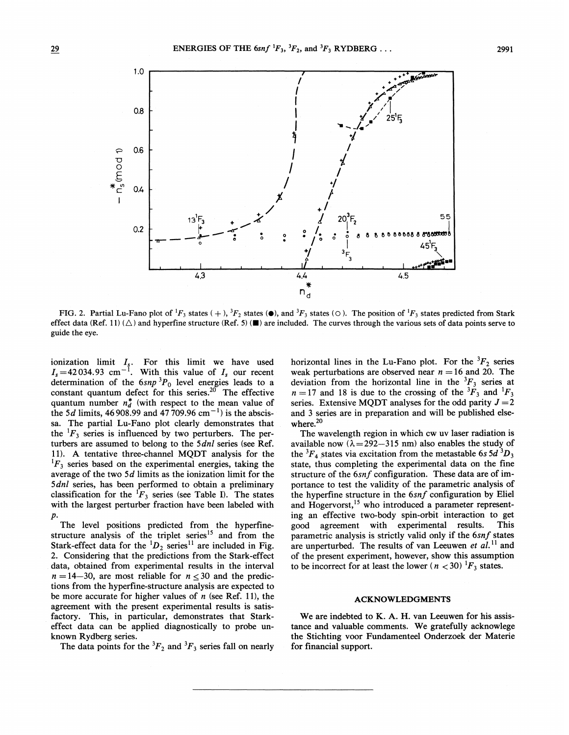

FIG. 2. Partial Lu-Fano plot of  ${}^1F_3$  states  $(+)$ ,  ${}^3F_2$  states ( $\bullet$ ), and  ${}^3F_3$  states ( $\circ$ ). The position of  ${}^1F_3$  states predicted from Stark effect data (Ref. 11) ( $\triangle$ ) and hyperfine structure (Ref. 5) ( $\blacksquare$ ) are included. The curves through the various sets of data points serve to guide the eye.

ionization limit  $I_s$ . For this limit we have used  $I_s = 42.034.93$  cm<sup>-1</sup>. With this value of  $I_s$  our recent determination of the  $(snp)^3P_0$  level energies leads to a<br>constant quantum defect for this series.<sup>20</sup> The effective quantum number  $n_d^*$  (with respect to the mean value of the 5d limits, 46 908.99 and 47 709.96 cm<sup>-1</sup>) is the abscissa. The partial Lu-Fano plot clearly demonstrates that the  ${}^{1}F_3$  series is influenced by two perturbers. The perturbers are assumed to belong to the 5dnl series (see Ref. 11). A tentative three-channel MQDT analysis for the  ${}^{1}F_3$  series based on the experimental energies, taking the average of the two  $5d$  limits as the ionization limit for the 5dnl series, has been performed to obtain a preliminary classification for the  ${}^{1}F_3$  series (see Table I). The states with the largest perturber fraction have been labeled with  $\boldsymbol{p}$ .

The level positions predicted from the hyperfine-<br>structure analysis of the triplet series<sup>15</sup> and from the<br>Stark-effect data for the  ${}^{1}D_2$  series<sup>11</sup> are included in Fig. 2. Considering that the predictions from the Stark-effect data, obtained from experimental results in the interval  $n = 14-30$ , are most reliable for  $n < 30$  and the predictions from the hyperfine-structure analysis are expected to be more accurate for higher values of  $n$  (see Ref. 11), the agreement with the present experimental results is satisfactory. This, in particular, demonstrates that Starkeffect data can be applied diagnostically to probe unknown Rydberg series.

The data points for the  ${}^{3}F_{2}$  and  ${}^{3}F_{3}$  series fall on nearly

horizontal lines in the Lu-Fano plot. For the  ${}^{3}F_{2}$  series weak perturbations are observed near  $n = 16$  and 20. The deviation from the horizontal line in the <sup>3</sup> $F_3$  series at  $n = 17$  and 18 is due to the crossing of the <sup>3</sup> $F_3$  and <sup>1</sup> $F_3$ series. Extensive MQDT analyses for the odd parity  $J = 2$ and 3 series are in preparation and will be published elsewhere.<sup>20</sup>

The wavelength region in which cw uv laser radiation is available now  $(\lambda = 292 - 315 \text{ nm})$  also enables the study of the  ${}^3F_4$  states via excitation from the metastable 6s 5d  ${}^3D_3$ state, thus completing the experimental data on the fine structure of the 6snf configuration. These data are of importance to test the validity of the parametric analysis of the hyperfine structure in the 6snf configuration by Eliel and Hogervorst,<sup>15</sup> who introduced a parameter representing an effective two-body spin-orbit interaction to get good agreement with experimental results. **This** parametric analysis is strictly valid only if the 6snf states are unperturbed. The results of van Leeuwen et al.<sup>11</sup> and of the present experiment, however, show this assumption to be incorrect for at least the lower ( $n < 30$ )  $\frac{1}{5}$  states.

#### **ACKNOWLEDGMENTS**

We are indebted to K. A. H. van Leeuwen for his assistance and valuable comments. We gratefully acknowlege the Stichting voor Fundamenteel Onderzoek der Materie for financial support.